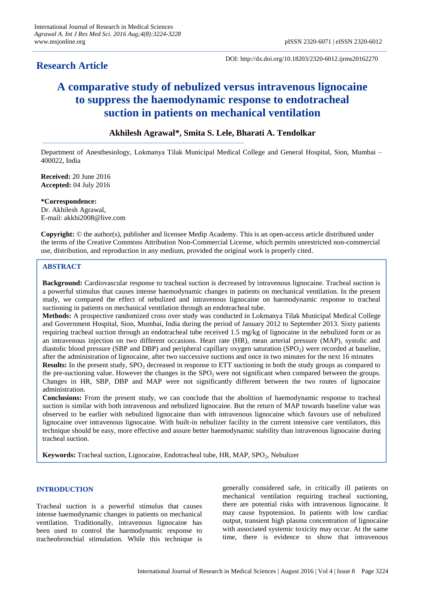## **Research Article**

DOI: http://dx.doi.org/10.18203/2320-6012.ijrms20162270

# **A comparative study of nebulized versus intravenous lignocaine to suppress the haemodynamic response to endotracheal suction in patients on mechanical ventilation**

## **Akhilesh Agrawal\*, Smita S. Lele, Bharati A. Tendolkar**

Department of Anesthesiology, Lokmanya Tilak Municipal Medical College and General Hospital, Sion, Mumbai – 400022, India

**Received:** 20 June 2016 **Accepted:** 04 July 2016

**\*Correspondence:** Dr. Akhilesh Agrawal, E-mail: akkhi2008@live.com

**Copyright:** © the author(s), publisher and licensee Medip Academy. This is an open-access article distributed under the terms of the Creative Commons Attribution Non-Commercial License, which permits unrestricted non-commercial use, distribution, and reproduction in any medium, provided the original work is properly cited.

## **ABSTRACT**

**Background:** Cardiovascular response to tracheal suction is decreased by intravenous lignocaine. Tracheal suction is a powerful stimulus that causes intense haemodynamic changes in patients on mechanical ventilation. In the present study, we compared the effect of nebulized and intravenous lignocaine on haemodynamic response to tracheal suctioning in patients on mechanical ventilation through an endotracheal tube.

**Methods:** A prospective randomized cross over study was conducted in Lokmanya Tilak Municipal Medical College and Government Hospital, Sion, Mumbai, India during the period of January 2012 to September 2013. Sixty patients requiring tracheal suction through an endotracheal tube received 1.5 mg/kg of lignocaine in the nebulized form or as an intravenous injection on two different occasions. Heart rate (HR), mean arterial pressure (MAP), systolic and diastolic blood pressure (SBP and DBP) and peripheral capillary oxygen saturation (SPO<sub>2</sub>) were recorded at baseline, after the administration of lignocaine, after two successive suctions and once in two minutes for the next 16 minutes

**Results:** In the present study, SPO<sub>2</sub> decreased in response to ETT suctioning in both the study groups as compared to the pre-suctioning value. However the changes in the  $SPO<sub>2</sub>$  were not significant when compared between the groups. Changes in HR, SBP, DBP and MAP were not significantly different between the two routes of lignocaine administration.

**Conclusions:** From the present study, we can conclude that the abolition of haemodynamic response to tracheal suction is similar with both intravenous and nebulized lignocaine. But the return of MAP towards baseline value was observed to be earlier with nebulized lignocaine than with intravenous lignocaine which favours use of nebulized lignocaine over intravenous lignocaine. With built-in nebulizer facility in the current intensive care ventilators, this technique should be easy, more effective and assure better haemodynamic stability than intravenous lignocaine during tracheal suction.

Keywords: Tracheal suction, Lignocaine, Endotracheal tube, HR, MAP, SPO<sub>2</sub>, Nebulizer

## **INTRODUCTION**

Tracheal suction is a powerful stimulus that causes intense haemodynamic changes in patients on mechanical ventilation. Traditionally, intravenous lignocaine has been used to control the haemodynamic response to tracheobronchial stimulation. While this technique is

generally considered safe, in critically ill patients on mechanical ventilation requiring tracheal suctioning, there are potential risks with intravenous lignocaine. It may cause hypotension. In patients with low cardiac output, transient high plasma concentration of lignocaine with associated systemic toxicity may occur. At the same time, there is evidence to show that intravenous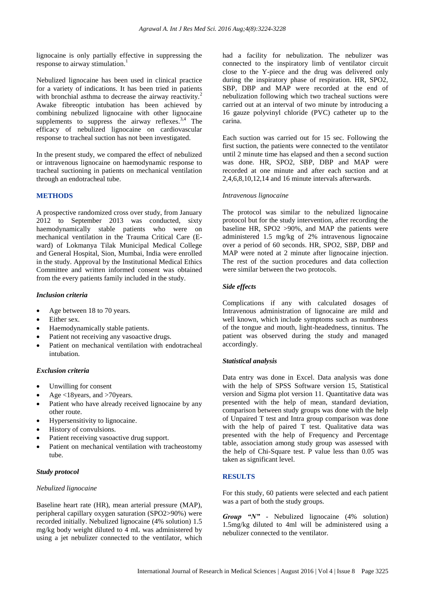lignocaine is only partially effective in suppressing the response to airway stimulation.<sup>1</sup>

Nebulized lignocaine has been used in clinical practice for a variety of indications. It has been tried in patients with bronchial asthma to decrease the airway reactivity.<sup>2</sup> Awake fibreoptic intubation has been achieved by combining nebulized lignocaine with other lignocaine supplements to suppress the airway reflexes. $3,4$  The efficacy of nebulized lignocaine on cardiovascular response to tracheal suction has not been investigated.

In the present study, we compared the effect of nebulized or intravenous lignocaine on haemodynamic response to tracheal suctioning in patients on mechanical ventilation through an endotracheal tube.

## **METHODS**

A prospective randomized cross over study, from January 2012 to September 2013 was conducted, sixty haemodynamically stable patients who were on mechanical ventilation in the Trauma Critical Care (Eward) of Lokmanya Tilak Municipal Medical College and General Hospital, Sion, Mumbai, India were enrolled in the study. Approval by the Institutional Medical Ethics Committee and written informed consent was obtained from the every patients family included in the study.

#### *Inclusion criteria*

- Age between 18 to 70 years.
- Either sex.
- Haemodynamically stable patients.
- Patient not receiving any vasoactive drugs.
- Patient on mechanical ventilation with endotracheal intubation.

#### *Exclusion criteria*

- Unwilling for consent
- Age <18years, and >70years.
- Patient who have already received lignocaine by any other route.
- Hypersensitivity to lignocaine.
- History of convulsions.
- Patient receiving vasoactive drug support.
- Patient on mechanical ventilation with tracheostomy tube.

## *Study protocol*

#### *Nebulized lignocaine*

Baseline heart rate (HR), mean arterial pressure (MAP), peripheral capillary oxygen saturation (SPO2>90%) were recorded initially. Nebulized lignocaine (4% solution) 1.5 mg/kg body weight diluted to 4 mL was administered by using a jet nebulizer connected to the ventilator, which had a facility for nebulization. The nebulizer was connected to the inspiratory limb of ventilator circuit close to the Y-piece and the drug was delivered only during the inspiratory phase of respiration. HR, SPO2, SBP, DBP and MAP were recorded at the end of nebulization following which two tracheal suctions were carried out at an interval of two minute by introducing a 16 gauze polyvinyl chloride (PVC) catheter up to the carina.

Each suction was carried out for 15 sec. Following the first suction, the patients were connected to the ventilator until 2 minute time has elapsed and then a second suction was done. HR, SPO2, SBP, DBP and MAP were recorded at one minute and after each suction and at 2,4,6,8,10,12,14 and 16 minute intervals afterwards.

#### *Intravenous lignocaine*

The protocol was similar to the nebulized lignocaine protocol but for the study intervention, after recording the baseline HR, SPO2 >90%, and MAP the patients were administered 1.5 mg/kg of 2% intravenous lignocaine over a period of 60 seconds. HR, SPO2, SBP, DBP and MAP were noted at 2 minute after lignocaine injection. The rest of the suction procedures and data collection were similar between the two protocols.

#### *Side effects*

Complications if any with calculated dosages of Intravenous administration of lignocaine are mild and well known, which include symptoms such as numbness of the tongue and mouth, light-headedness, tinnitus. The patient was observed during the study and managed accordingly.

#### *Statistical analysis*

Data entry was done in Excel. Data analysis was done with the help of SPSS Software version 15, Statistical version and Sigma plot version 11. Quantitative data was presented with the help of mean, standard deviation, comparison between study groups was done with the help of Unpaired T test and Intra group comparison was done with the help of paired T test. Qualitative data was presented with the help of Frequency and Percentage table, association among study group was assessed with the help of Chi-Square test. P value less than 0.05 was taken as significant level.

#### **RESULTS**

For this study, 60 patients were selected and each patient was a part of both the study groups.

*Group "N"* - Nebulized lignocaine (4% solution) 1.5mg/kg diluted to 4ml will be administered using a nebulizer connected to the ventilator.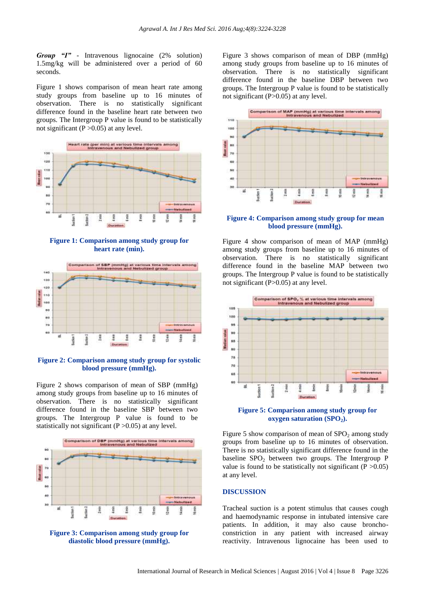*Group "I"* - Intravenous lignocaine (2% solution) 1.5mg/kg will be administered over a period of 60 seconds.

Figure 1 shows comparison of mean heart rate among study groups from baseline up to 16 minutes of observation. There is no statistically significant difference found in the baseline heart rate between two groups. The Intergroup P value is found to be statistically not significant  $(P > 0.05)$  at any level.



**Figure 1: Comparison among study group for heart rate (min).**



**Figure 2: Comparison among study group for systolic blood pressure (mmHg).**

Figure 2 shows comparison of mean of SBP (mmHg) among study groups from baseline up to 16 minutes of observation. There is no statistically significant difference found in the baseline SBP between two groups. The Intergroup P value is found to be statistically not significant  $(P > 0.05)$  at any level.





Figure 3 shows comparison of mean of DBP (mmHg) among study groups from baseline up to 16 minutes of observation. There is no statistically significant difference found in the baseline DBP between two groups. The Intergroup P value is found to be statistically not significant (P>0.05) at any level.



#### **Figure 4: Comparison among study group for mean blood pressure (mmHg).**

Figure 4 show comparison of mean of MAP (mmHg) among study groups from baseline up to 16 minutes of observation. There is no statistically significant difference found in the baseline MAP between two groups. The Intergroup P value is found to be statistically not significant (P>0.05) at any level.





Figure 5 show comparison of mean of  $SPO<sub>2</sub>$  among study groups from baseline up to 16 minutes of observation. There is no statistically significant difference found in the baseline  $SPO<sub>2</sub>$  between two groups. The Intergroup P value is found to be statistically not significant ( $P > 0.05$ ) at any level.

#### **DISCUSSION**

Tracheal suction is a potent stimulus that causes cough and haemodynamic response in intubated intensive care patients. In addition, it may also cause bronchoconstriction in any patient with increased airway reactivity. Intravenous lignocaine has been used to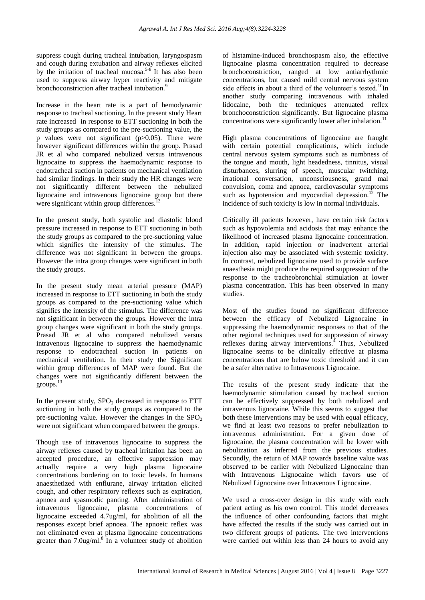suppress cough during tracheal intubation, laryngospasm and cough during extubation and airway reflexes elicited by the irritation of tracheal mucosa.<sup>5-8</sup> It has also been used to suppress airway hyper reactivity and mitigate bronchoconstriction after tracheal intubation.<sup>9</sup>

Increase in the heart rate is a part of hemodynamic response to tracheal suctioning. In the present study Heart rate increased in response to ETT suctioning in both the study groups as compared to the pre-suctioning value, the p values were not significant  $(p>0.05)$ . There were however significant differences within the group. Prasad JR et al who compared nebulized versus intravenous lignocaine to suppress the haemodynamic response to endotracheal suction in patients on mechanical ventilation had similar findings. In their study the HR changes were not significantly different between the nebulized lignocaine and intravenous lignocaine group but there were significant within group differences.<sup>13</sup>

In the present study, both systolic and diastolic blood pressure increased in response to ETT suctioning in both the study groups as compared to the pre-suctioning value which signifies the intensity of the stimulus. The difference was not significant in between the groups. However the intra group changes were significant in both the study groups.

In the present study mean arterial pressure (MAP) increased in response to ETT suctioning in both the study groups as compared to the pre-suctioning value which signifies the intensity of the stimulus. The difference was not significant in between the groups. However the intra group changes were significant in both the study groups. Prasad JR et al who compared nebulized versus intravenous lignocaine to suppress the haemodynamic response to endotracheal suction in patients on mechanical ventilation. In their study the Significant within group differences of MAP were found. But the changes were not significantly different between the groups.<sup>13</sup>

In the present study,  $SPO<sub>2</sub>$  decreased in response to ETT suctioning in both the study groups as compared to the pre-suctioning value. However the changes in the  $SPO<sub>2</sub>$ were not significant when compared between the groups.

Though use of intravenous lignocaine to suppress the airway reflexes caused by tracheal irritation has been an accepted procedure, an effective suppression may actually require a very high plasma lignocaine concentrations bordering on to toxic levels. In humans anaesthetized with enflurane, airway irritation elicited cough, and other respiratory reflexes such as expiration, apnoea and spasmodic panting. After administration of intravenous lignocaine, plasma concentrations of lignocaine exceeded 4.7ug/ml, for abolition of all the responses except brief apnoea. The apnoeic reflex was not eliminated even at plasma lignocaine concentrations greater than  $7.0$ ug/ml. $8$  In a volunteer study of abolition of histamine-induced bronchospasm also, the effective lignocaine plasma concentration required to decrease bronchoconstriction, ranged at low antiarrhythmic concentrations, but caused mild central nervous system side effects in about a third of the volunteer's tested.<sup>10</sup>In another study comparing intravenous with inhaled lidocaine, both the techniques attenuated reflex bronchoconstriction significantly. But lignocaine plasma concentrations were significantly lower after inhalation.<sup>11</sup>

High plasma concentrations of lignocaine are fraught with certain potential complications, which include central nervous system symptoms such as numbness of the tongue and mouth, light headedness, tinnitus, visual disturbances, slurring of speech, muscular twitching, irrational conversation, unconsciousness, grand mal convulsion, coma and apnoea, cardiovascular symptoms such as hypotension and myocardial depression.<sup>12</sup> The incidence of such toxicity is low in normal individuals.

Critically ill patients however, have certain risk factors such as hypovolemia and acidosis that may enhance the likelihood of increased plasma lignocaine concentration. In addition, rapid injection or inadvertent arterial injection also may be associated with systemic toxicity. In contrast, nebulized lignocaine used to provide surface anaesthesia might produce the required suppression of the response to the tracheobronchial stimulation at lower plasma concentration. This has been observed in many studies.

Most of the studies found no significant difference between the efficacy of Nebulized Lignocaine in suppressing the haemodynamic responses to that of the other regional techniques used for suppression of airway reflexes during airway interventions.<sup>4</sup> Thus, Nebulized lignocaine seems to be clinically effective at plasma concentrations that are below toxic threshold and it can be a safer alternative to Intravenous Lignocaine.

The results of the present study indicate that the haemodynamic stimulation caused by tracheal suction can be effectively suppressed by both nebulized and intravenous lignocaine. While this seems to suggest that both these interventions may be used with equal efficacy, we find at least two reasons to prefer nebulization to intravenous administration. For a given dose of lignocaine, the plasma concentration will be lower with nebulization as inferred from the previous studies. Secondly, the return of MAP towards baseline value was observed to be earlier with Nebulized Lignocaine than with Intravenous Lignocaine which favors use of Nebulized Lignocaine over Intravenous Lignocaine.

We used a cross-over design in this study with each patient acting as his own control. This model decreases the influence of other confounding factors that might have affected the results if the study was carried out in two different groups of patients. The two interventions were carried out within less than 24 hours to avoid any